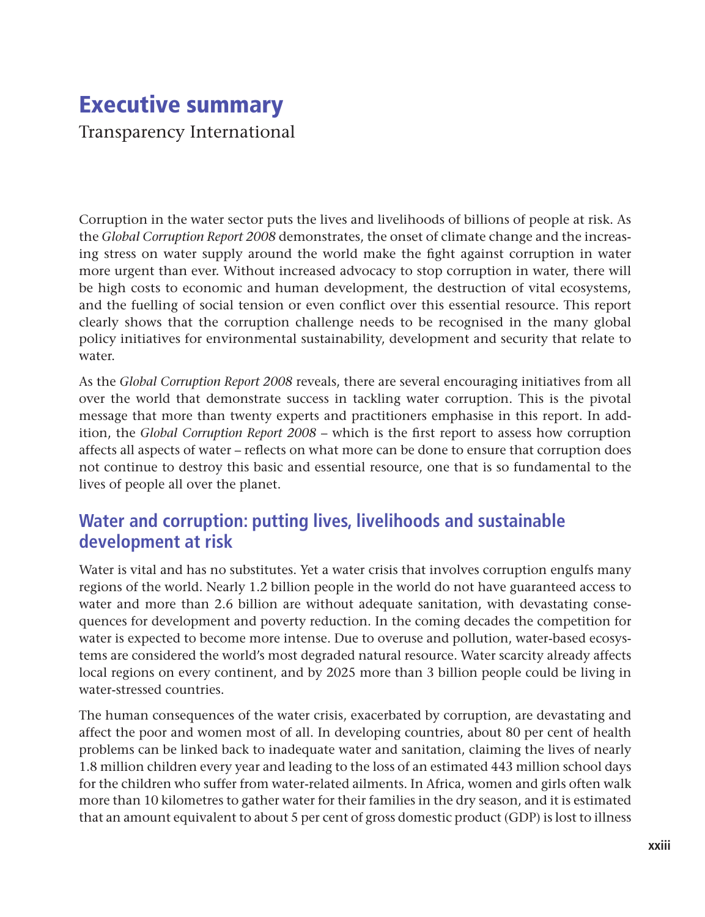# **Executive summary**

Transparency International

Corruption in the water sector puts the lives and livelihoods of billions of people at risk. As the *Global Corruption Report 2008* demonstrates, the onset of climate change and the increasing stress on water supply around the world make the fight against corruption in water more urgent than ever. Without increased advocacy to stop corruption in water, there will be high costs to economic and human development, the destruction of vital ecosystems, and the fuelling of social tension or even conflict over this essential resource. This report clearly shows that the corruption challenge needs to be recognised in the many global policy initiatives for environmental sustainability, development and security that relate to water.

As the *Global Corruption Report 2008* reveals, there are several encouraging initiatives from all over the world that demonstrate success in tackling water corruption. This is the pivotal message that more than twenty experts and practitioners emphasise in this report. In addition, the *Global Corruption Report 2008* – which is the first report to assess how corruption affects all aspects of water – reflects on what more can be done to ensure that corruption does not continue to destroy this basic and essential resource, one that is so fundamental to the lives of people all over the planet.

## **Water and corruption: putting lives, livelihoods and sustainable development at risk**

Water is vital and has no substitutes. Yet a water crisis that involves corruption engulfs many regions of the world. Nearly 1.2 billion people in the world do not have guaranteed access to water and more than 2.6 billion are without adequate sanitation, with devastating consequences for development and poverty reduction. In the coming decades the competition for water is expected to become more intense. Due to overuse and pollution, water-based ecosystems are considered the world's most degraded natural resource. Water scarcity already affects local regions on every continent, and by 2025 more than 3 billion people could be living in water-stressed countries.

The human consequences of the water crisis, exacerbated by corruption, are devastating and affect the poor and women most of all. In developing countries, about 80 per cent of health problems can be linked back to inadequate water and sanitation, claiming the lives of nearly 1.8 million children every year and leading to the loss of an estimated 443 million school days for the children who suffer from water-related ailments. In Africa, women and girls often walk more than 10 kilometres to gather water for their families in the dry season, and it is estimated that an amount equivalent to about 5 per cent of gross domestic product (GDP) is lost to illness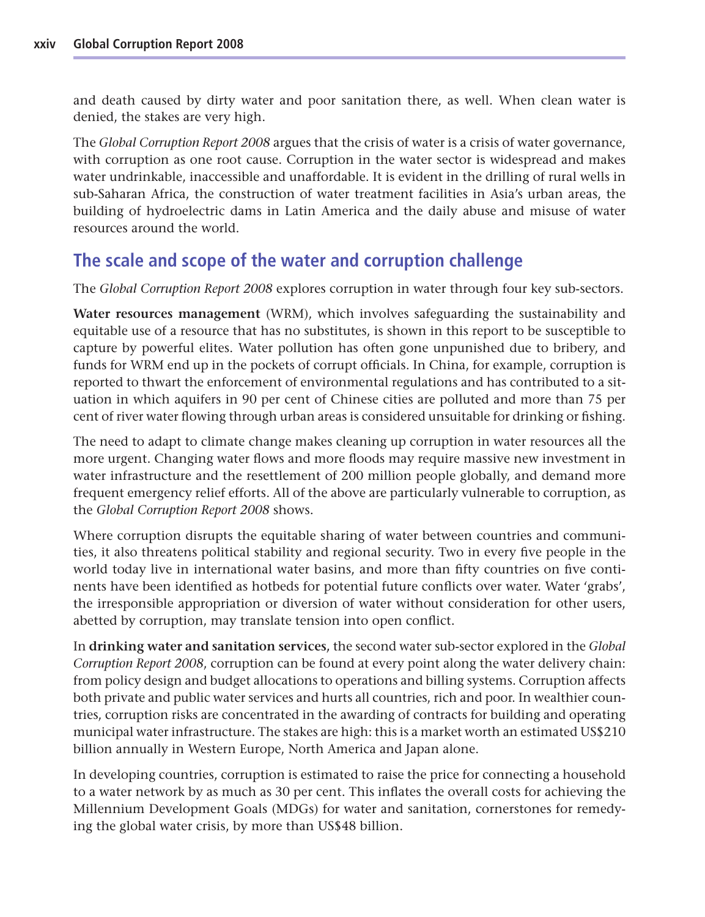and death caused by dirty water and poor sanitation there, as well. When clean water is denied, the stakes are very high.

The *Global Corruption Report 2008* argues that the crisis of water is a crisis of water governance, with corruption as one root cause. Corruption in the water sector is widespread and makes water undrinkable, inaccessible and unaffordable. It is evident in the drilling of rural wells in sub-Saharan Africa, the construction of water treatment facilities in Asia's urban areas, the building of hydroelectric dams in Latin America and the daily abuse and misuse of water resources around the world.

#### **The scale and scope of the water and corruption challenge**

The *Global Corruption Report 2008* explores corruption in water through four key sub-sectors.

**Water resources management** (WRM), which involves safeguarding the sustainability and equitable use of a resource that has no substitutes, is shown in this report to be susceptible to capture by powerful elites. Water pollution has often gone unpunished due to bribery, and funds for WRM end up in the pockets of corrupt officials. In China, for example, corruption is reported to thwart the enforcement of environmental regulations and has contributed to a situation in which aquifers in 90 per cent of Chinese cities are polluted and more than 75 per cent of river water flowing through urban areas is considered unsuitable for drinking or fishing.

The need to adapt to climate change makes cleaning up corruption in water resources all the more urgent. Changing water flows and more floods may require massive new investment in water infrastructure and the resettlement of 200 million people globally, and demand more frequent emergency relief efforts. All of the above are particularly vulnerable to corruption, as the *Global Corruption Report 2008* shows.

Where corruption disrupts the equitable sharing of water between countries and communities, it also threatens political stability and regional security. Two in every five people in the world today live in international water basins, and more than fifty countries on five continents have been identified as hotbeds for potential future conflicts over water. Water 'grabs', the irresponsible appropriation or diversion of water without consideration for other users, abetted by corruption, may translate tension into open conflict.

In **drinking water and sanitation services,** the second water sub-sector explored in the *Global Corruption Report 2008*, corruption can be found at every point along the water delivery chain: from policy design and budget allocations to operations and billing systems. Corruption affects both private and public water services and hurts all countries, rich and poor. In wealthier countries, corruption risks are concentrated in the awarding of contracts for building and operating municipal water infrastructure. The stakes are high: this is a market worth an estimated US\$210 billion annually in Western Europe, North America and Japan alone.

In developing countries, corruption is estimated to raise the price for connecting a household to a water network by as much as 30 per cent. This inflates the overall costs for achieving the Millennium Development Goals (MDGs) for water and sanitation, cornerstones for remedying the global water crisis, by more than US\$48 billion.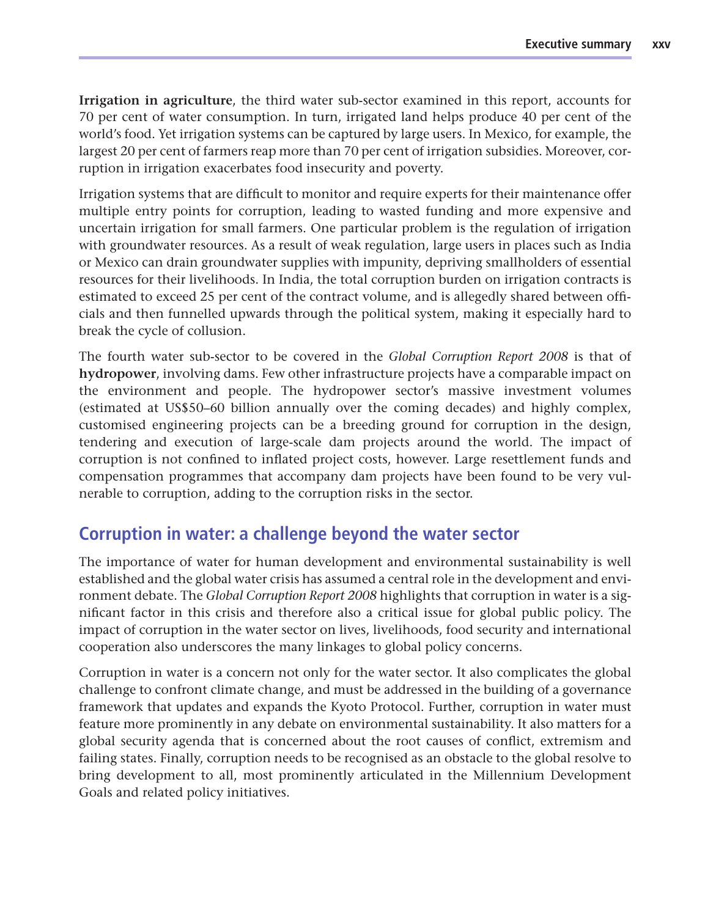**Irrigation in agriculture**, the third water sub-sector examined in this report, accounts for 70 per cent of water consumption. In turn, irrigated land helps produce 40 per cent of the world's food. Yet irrigation systems can be captured by large users. In Mexico, for example, the largest 20 per cent of farmers reap more than 70 per cent of irrigation subsidies. Moreover, corruption in irrigation exacerbates food insecurity and poverty.

Irrigation systems that are difficult to monitor and require experts for their maintenance offer multiple entry points for corruption, leading to wasted funding and more expensive and uncertain irrigation for small farmers. One particular problem is the regulation of irrigation with groundwater resources. As a result of weak regulation, large users in places such as India or Mexico can drain groundwater supplies with impunity, depriving smallholders of essential resources for their livelihoods. In India, the total corruption burden on irrigation contracts is estimated to exceed 25 per cent of the contract volume, and is allegedly shared between officials and then funnelled upwards through the political system, making it especially hard to break the cycle of collusion.

The fourth water sub-sector to be covered in the *Global Corruption Report 2008* is that of **hydropower**, involving dams. Few other infrastructure projects have a comparable impact on the environment and people. The hydropower sector's massive investment volumes (estimated at US\$50–60 billion annually over the coming decades) and highly complex, customised engineering projects can be a breeding ground for corruption in the design, tendering and execution of large-scale dam projects around the world. The impact of corruption is not confined to inflated project costs, however. Large resettlement funds and compensation programmes that accompany dam projects have been found to be very vulnerable to corruption, adding to the corruption risks in the sector.

#### **Corruption in water: a challenge beyond the water sector**

The importance of water for human development and environmental sustainability is well established and the global water crisis has assumed a central role in the development and environment debate. The *Global Corruption Report 2008* highlights that corruption in water is a significant factor in this crisis and therefore also a critical issue for global public policy. The impact of corruption in the water sector on lives, livelihoods, food security and international cooperation also underscores the many linkages to global policy concerns.

Corruption in water is a concern not only for the water sector. It also complicates the global challenge to confront climate change, and must be addressed in the building of a governance framework that updates and expands the Kyoto Protocol. Further, corruption in water must feature more prominently in any debate on environmental sustainability. It also matters for a global security agenda that is concerned about the root causes of conflict, extremism and failing states. Finally, corruption needs to be recognised as an obstacle to the global resolve to bring development to all, most prominently articulated in the Millennium Development Goals and related policy initiatives.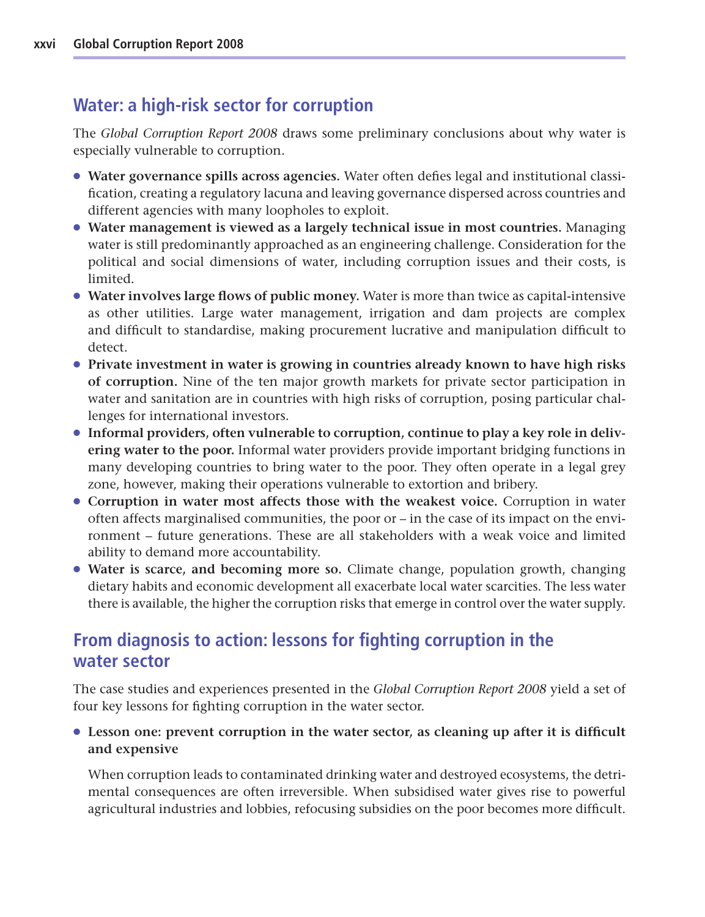### **Water: a high-risk sector for corruption**

The *Global Corruption Report 2008* draws some preliminary conclusions about why water is especially vulnerable to corruption.

- **Water governance spills across agencies.** Water often defies legal and institutional classification, creating a regulatory lacuna and leaving governance dispersed across countries and different agencies with many loopholes to exploit.
- **Water management is viewed as a largely technical issue in most countries.** Managing water is still predominantly approached as an engineering challenge. Consideration for the political and social dimensions of water, including corruption issues and their costs, is limited.
- **Water involves large flows of public money.** Water is more than twice as capital-intensive as other utilities. Large water management, irrigation and dam projects are complex and difficult to standardise, making procurement lucrative and manipulation difficult to detect.
- **Private investment in water is growing in countries already known to have high risks of corruption.** Nine of the ten major growth markets for private sector participation in water and sanitation are in countries with high risks of corruption, posing particular challenges for international investors.
- **Informal providers, often vulnerable to corruption, continue to play a key role in delivering water to the poor.** Informal water providers provide important bridging functions in many developing countries to bring water to the poor. They often operate in a legal grey zone, however, making their operations vulnerable to extortion and bribery.
- **Corruption in water most affects those with the weakest voice.** Corruption in water often affects marginalised communities, the poor or – in the case of its impact on the environment – future generations. These are all stakeholders with a weak voice and limited ability to demand more accountability.
- **Water is scarce, and becoming more so.** Climate change, population growth, changing dietary habits and economic development all exacerbate local water scarcities. The less water there is available, the higher the corruption risks that emerge in control over the water supply.

# **From diagnosis to action: lessons for fighting corruption in the water sector**

The case studies and experiences presented in the *Global Corruption Report 2008* yield a set of four key lessons for fighting corruption in the water sector.

#### ● **Lesson one: prevent corruption in the water sector, as cleaning up after it is difficult and expensive**

When corruption leads to contaminated drinking water and destroyed ecosystems, the detrimental consequences are often irreversible. When subsidised water gives rise to powerful agricultural industries and lobbies, refocusing subsidies on the poor becomes more difficult.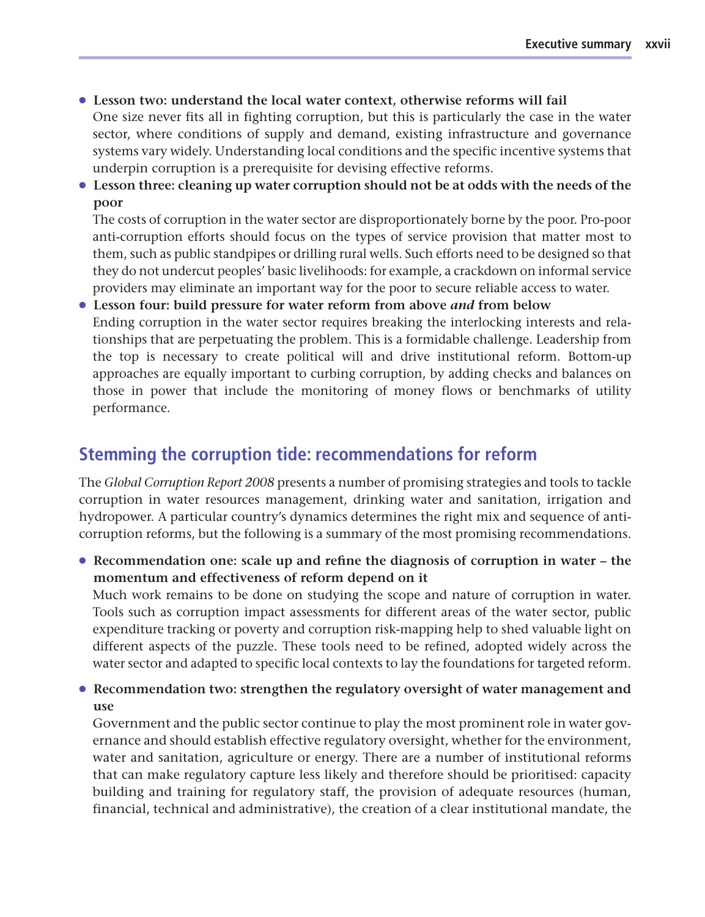● **Lesson two: understand the local water context, otherwise reforms will fail**

One size never fits all in fighting corruption, but this is particularly the case in the water sector, where conditions of supply and demand, existing infrastructure and governance systems vary widely. Understanding local conditions and the specific incentive systems that underpin corruption is a prerequisite for devising effective reforms.

● **Lesson three: cleaning up water corruption should not be at odds with the needs of the poor**

The costs of corruption in the water sector are disproportionately borne by the poor. Pro-poor anti-corruption efforts should focus on the types of service provision that matter most to them, such as public standpipes or drilling rural wells. Such efforts need to be designed so that they do not undercut peoples' basic livelihoods: for example, a crackdown on informal service providers may eliminate an important way for the poor to secure reliable access to water.

● **Lesson four: build pressure for water reform from above** *and* **from below**

Ending corruption in the water sector requires breaking the interlocking interests and relationships that are perpetuating the problem. This is a formidable challenge. Leadership from the top is necessary to create political will and drive institutional reform. Bottom-up approaches are equally important to curbing corruption, by adding checks and balances on those in power that include the monitoring of money flows or benchmarks of utility performance.

#### **Stemming the corruption tide: recommendations for reform**

The *Global Corruption Report 2008* presents a number of promising strategies and tools to tackle corruption in water resources management, drinking water and sanitation, irrigation and hydropower. A particular country's dynamics determines the right mix and sequence of anticorruption reforms, but the following is a summary of the most promising recommendations.

● **Recommendation one: scale up and refine the diagnosis of corruption in water – the momentum and effectiveness of reform depend on it**

Much work remains to be done on studying the scope and nature of corruption in water. Tools such as corruption impact assessments for different areas of the water sector, public expenditure tracking or poverty and corruption risk-mapping help to shed valuable light on different aspects of the puzzle. These tools need to be refined, adopted widely across the water sector and adapted to specific local contexts to lay the foundations for targeted reform.

● **Recommendation two: strengthen the regulatory oversight of water management and use**

Government and the public sector continue to play the most prominent role in water governance and should establish effective regulatory oversight, whether for the environment, water and sanitation, agriculture or energy. There are a number of institutional reforms that can make regulatory capture less likely and therefore should be prioritised: capacity building and training for regulatory staff, the provision of adequate resources (human, financial, technical and administrative), the creation of a clear institutional mandate, the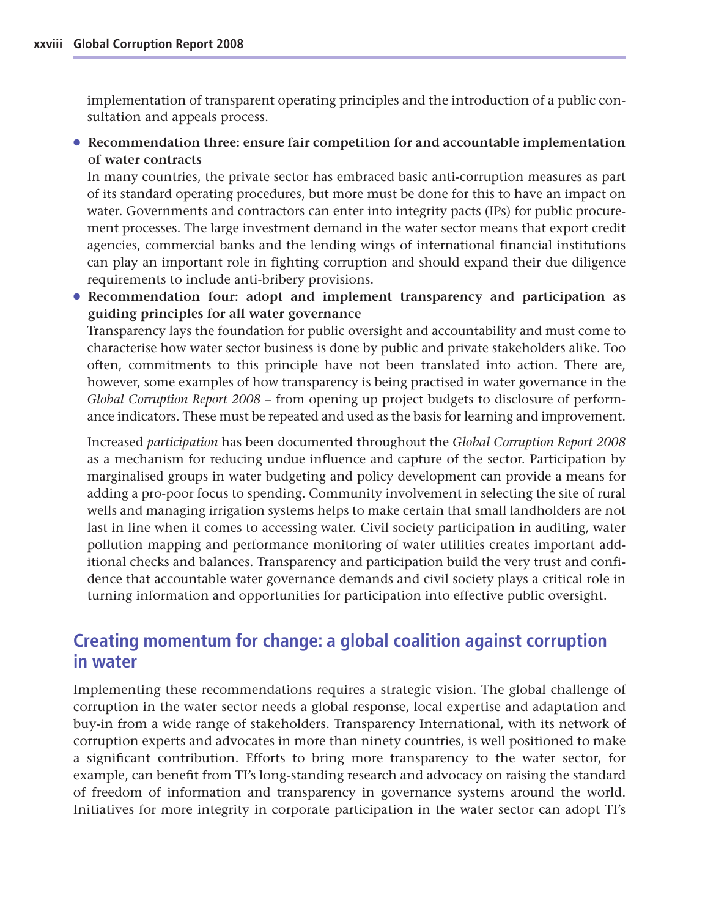implementation of transparent operating principles and the introduction of a public consultation and appeals process.

● **Recommendation three: ensure fair competition for and accountable implementation of water contracts**

In many countries, the private sector has embraced basic anti-corruption measures as part of its standard operating procedures, but more must be done for this to have an impact on water. Governments and contractors can enter into integrity pacts (IPs) for public procurement processes. The large investment demand in the water sector means that export credit agencies, commercial banks and the lending wings of international financial institutions can play an important role in fighting corruption and should expand their due diligence requirements to include anti-bribery provisions.

● **Recommendation four: adopt and implement transparency and participation as guiding principles for all water governance**

Transparency lays the foundation for public oversight and accountability and must come to characterise how water sector business is done by public and private stakeholders alike. Too often, commitments to this principle have not been translated into action. There are, however, some examples of how transparency is being practised in water governance in the *Global Corruption Report 2008* – from opening up project budgets to disclosure of performance indicators. These must be repeated and used as the basis for learning and improvement.

Increased *participation* has been documented throughout the *Global Corruption Report 2008* as a mechanism for reducing undue influence and capture of the sector. Participation by marginalised groups in water budgeting and policy development can provide a means for adding a pro-poor focus to spending. Community involvement in selecting the site of rural wells and managing irrigation systems helps to make certain that small landholders are not last in line when it comes to accessing water. Civil society participation in auditing, water pollution mapping and performance monitoring of water utilities creates important additional checks and balances. Transparency and participation build the very trust and confidence that accountable water governance demands and civil society plays a critical role in turning information and opportunities for participation into effective public oversight.

### **Creating momentum for change: a global coalition against corruption in water**

Implementing these recommendations requires a strategic vision. The global challenge of corruption in the water sector needs a global response, local expertise and adaptation and buy-in from a wide range of stakeholders. Transparency International, with its network of corruption experts and advocates in more than ninety countries, is well positioned to make a significant contribution. Efforts to bring more transparency to the water sector, for example, can benefit from TI's long-standing research and advocacy on raising the standard of freedom of information and transparency in governance systems around the world. Initiatives for more integrity in corporate participation in the water sector can adopt TI's